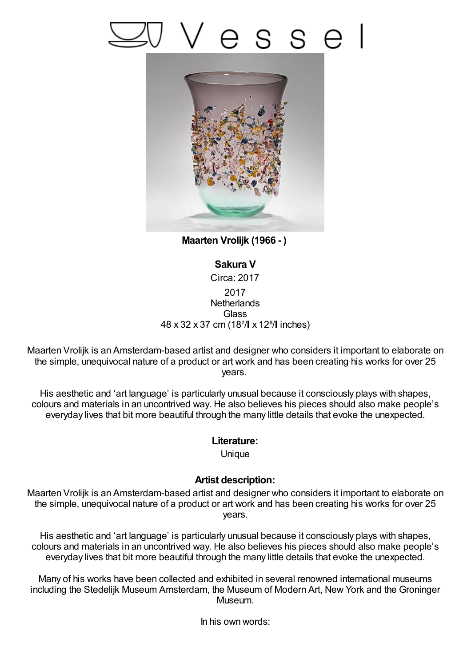## esse



**Maarten Vrolijk (1966 - )**

## **Sakura V** Circa: 2017 2017 **Netherlands Glass** 48 x 32 x 37 cm (187 x 12<sup>5</sup>/ linches)

Maarten Vrolijk is an Amsterdam-based artist and designer who considers it important to elaborate on the simple, unequivocal nature of a product or art work and has been creating his works for over 25 years.

His aesthetic and 'art language' is particularly unusual because it consciously plays with shapes, colours and materials in an uncontrived way. He also believes his pieces should also make people's everyday lives that bit more beautiful through the many little details that evoke the unexpected.

## **Literature:**

Unique

## **Artist description:**

Maarten Vrolijk is an Amsterdam-based artist and designer who considers it important to elaborate on the simple, unequivocal nature of a product or art work and has been creating his works for over 25 years.

His aesthetic and 'art language' is particularly unusual because it consciously plays with shapes, colours and materials in an uncontrived way. He also believes his pieces should also make people's everyday lives that bit more beautiful through the many little details that evoke the unexpected.

Many of his works have been collected and exhibited in several renowned international museums including the Stedelijk Museum Amsterdam, the Museum of Modern Art, New York and the Groninger Museum.

In his own words: